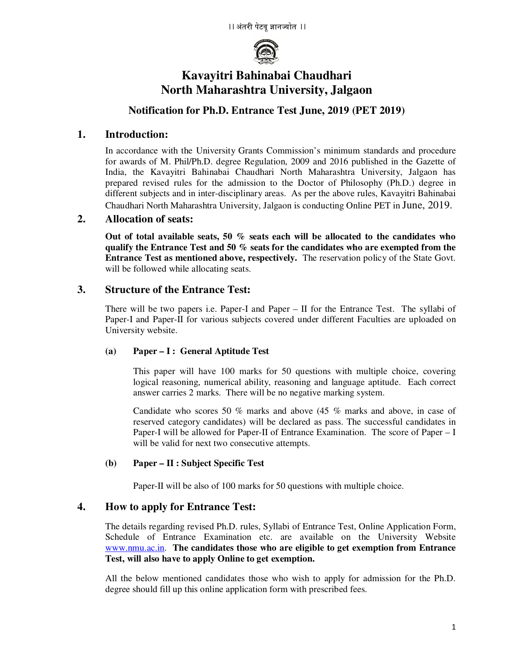

# **Kavayitri Bahinabai Chaudhari North Maharashtra University, Jalgaon**

# **Notification for Ph.D. Entrance Test June, 2019 (PET 2019)**

## **1. Introduction:**

In accordance with the University Grants Commission's minimum standards and procedure for awards of M. Phil/Ph.D. degree Regulation, 2009 and 2016 published in the Gazette of India, the Kavayitri Bahinabai Chaudhari North Maharashtra University, Jalgaon has prepared revised rules for the admission to the Doctor of Philosophy (Ph.D.) degree in different subjects and in inter-disciplinary areas. As per the above rules, Kavayitri Bahinabai Chaudhari North Maharashtra University, Jalgaon is conducting Online PET in June, 2019.

## **2. Allocation of seats:**

**Out of total available seats, 50 % seats each will be allocated to the candidates who qualify the Entrance Test and 50 % seats for the candidates who are exempted from the Entrance Test as mentioned above, respectively.** The reservation policy of the State Govt. will be followed while allocating seats.

## **3. Structure of the Entrance Test:**

There will be two papers i.e. Paper-I and Paper – II for the Entrance Test. The syllabi of Paper-I and Paper-II for various subjects covered under different Faculties are uploaded on University website.

## **(a) Paper – I : General Aptitude Test**

This paper will have 100 marks for 50 questions with multiple choice, covering logical reasoning, numerical ability, reasoning and language aptitude. Each correct answer carries 2 marks. There will be no negative marking system.

Candidate who scores 50 % marks and above (45 % marks and above, in case of reserved category candidates) will be declared as pass. The successful candidates in Paper-I will be allowed for Paper-II of Entrance Examination. The score of Paper – I will be valid for next two consecutive attempts.

## **(b) Paper – II : Subject Specific Test**

Paper-II will be also of 100 marks for 50 questions with multiple choice.

## **4. How to apply for Entrance Test:**

The details regarding revised Ph.D. rules, Syllabi of Entrance Test, Online Application Form, Schedule of Entrance Examination etc. are available on the University Website www.nmu.ac.in. **The candidates those who are eligible to get exemption from Entrance Test, will also have to apply Online to get exemption.** 

All the below mentioned candidates those who wish to apply for admission for the Ph.D. degree should fill up this online application form with prescribed fees.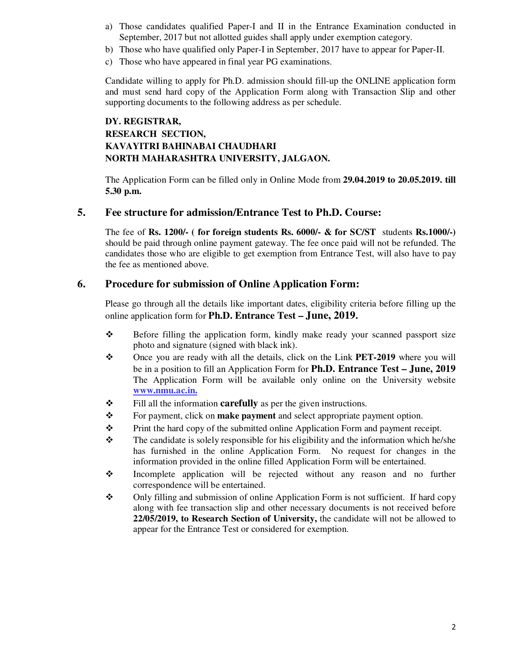- a) Those candidates qualified Paper-I and II in the Entrance Examination conducted in September, 2017 but not allotted guides shall apply under exemption category.
- b) Those who have qualified only Paper-I in September, 2017 have to appear for Paper-II.
- c) Those who have appeared in final year PG examinations.

Candidate willing to apply for Ph.D. admission should fill-up the ONLINE application form and must send hard copy of the Application Form along with Transaction Slip and other supporting documents to the following address as per schedule.

# **DY. REGISTRAR, RESEARCH SECTION, KAVAYITRI BAHINABAI CHAUDHARI NORTH MAHARASHTRA UNIVERSITY, JALGAON.**

The Application Form can be filled only in Online Mode from **29.04.2019 to 20.05.2019. till 5.30 p.m.**

#### **5. Fee structure for admission/Entrance Test to Ph.D. Course:**

The fee of **Rs. 1200/- ( for foreign students Rs. 6000/- & for SC/ST** students **Rs.1000/-)** should be paid through online payment gateway. The fee once paid will not be refunded. The candidates those who are eligible to get exemption from Entrance Test, will also have to pay the fee as mentioned above.

#### **6. Procedure for submission of Online Application Form:**

Please go through all the details like important dates, eligibility criteria before filling up the online application form for **Ph.D. Entrance Test – June, 2019.** 

- Before filling the application form, kindly make ready your scanned passport size photo and signature (signed with black ink).
- Once you are ready with all the details, click on the Link **PET-2019** where you will be in a position to fill an Application Form for **Ph.D. Entrance Test – June, 2019** The Application Form will be available only online on the University website **www.nmu.ac.in.**
- $\div$  Fill all the information **carefully** as per the given instructions.
- \* For payment, click on **make payment** and select appropriate payment option.
- $\mathbf{\hat{P}}$  Print the hard copy of the submitted online Application Form and payment receipt.
- $\mathbf{\hat{P}}$  The candidate is solely responsible for his eligibility and the information which he/she has furnished in the online Application Form. No request for changes in the information provided in the online filled Application Form will be entertained.
- Incomplete application will be rejected without any reason and no further correspondence will be entertained.
- $\mathbf{\hat{P}}$  Only filling and submission of online Application Form is not sufficient. If hard copy along with fee transaction slip and other necessary documents is not received before **22/05/2019, to Research Section of University,** the candidate will not be allowed to appear for the Entrance Test or considered for exemption.